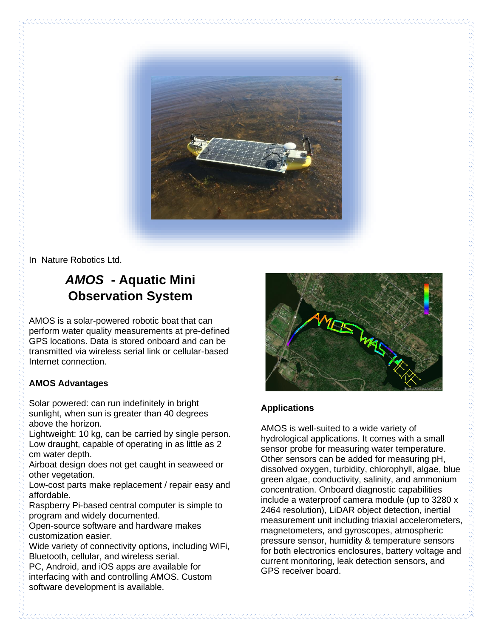

In Nature Robotics Ltd.

## *AMOS* **- Aquatic Mini Observation System**

AMOS is a solar-powered robotic boat that can perform water quality measurements at pre-defined GPS locations. Data is stored onboard and can be transmitted via wireless serial link or cellular-based Internet connection.

## **AMOS Advantages**

Solar powered: can run indefinitely in bright sunlight, when sun is greater than 40 degrees above the horizon.

Lightweight: 10 kg, can be carried by single person. Low draught, capable of operating in as little as 2 cm water depth.

Airboat design does not get caught in seaweed or other vegetation.

Low-cost parts make replacement / repair easy and affordable.

Raspberry Pi-based central computer is simple to program and widely documented.

Open-source software and hardware makes customization easier.

Wide variety of connectivity options, including WiFi, Bluetooth, cellular, and wireless serial.

PC, Android, and iOS apps are available for interfacing with and controlling AMOS. Custom software development is available.



## **Applications**

AMOS is well-suited to a wide variety of hydrological applications. It comes with a small sensor probe for measuring water temperature. Other sensors can be added for measuring pH, dissolved oxygen, turbidity, chlorophyll, algae, blue green algae, conductivity, salinity, and ammonium concentration. Onboard diagnostic capabilities include a waterproof camera module (up to 3280 x 2464 resolution), LiDAR object detection, inertial measurement unit including triaxial accelerometers, magnetometers, and gyroscopes, atmospheric pressure sensor, humidity & temperature sensors for both electronics enclosures, battery voltage and current monitoring, leak detection sensors, and GPS receiver board.